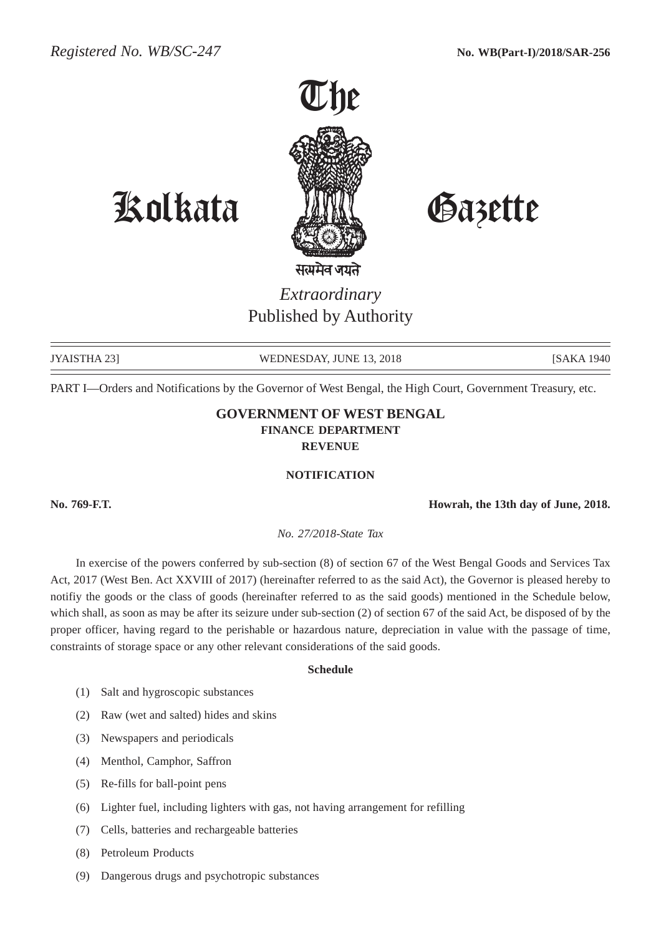

## Kolkata Gazette

*Extraordinary* Published by Authority

JYAISTHA 23] WEDNESDAY, JUNE 13, 2018 [SAKA 1940]

PART I—Orders and Notifications by the Governor of West Bengal, the High Court, Government Treasury, etc.

## **GOVERNMENT OF WEST BENGAL FINANCE DEPARTMENT REVENUE**

## **NOTIFICATION**

**No. 769-F.T. Howrah, the 13th day of June, 2018.**

*No. 27/2018-State Tax*

In exercise of the powers conferred by sub-section (8) of section 67 of the West Bengal Goods and Services Tax Act, 2017 (West Ben. Act XXVIII of 2017) (hereinafter referred to as the said Act), the Governor is pleased hereby to notifiy the goods or the class of goods (hereinafter referred to as the said goods) mentioned in the Schedule below, which shall, as soon as may be after its seizure under sub-section (2) of section 67 of the said Act, be disposed of by the proper officer, having regard to the perishable or hazardous nature, depreciation in value with the passage of time, constraints of storage space or any other relevant considerations of the said goods.

## **Schedule**

- (1) Salt and hygroscopic substances
- (2) Raw (wet and salted) hides and skins
- (3) Newspapers and periodicals
- (4) Menthol, Camphor, Saffron
- (5) Re-fills for ball-point pens
- (6) Lighter fuel, including lighters with gas, not having arrangement for refilling
- (7) Cells, batteries and rechargeable batteries
- (8) Petroleum Products
- (9) Dangerous drugs and psychotropic substances